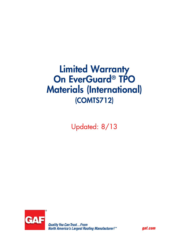# Limited Warranty On EverGuard® TPO Materials (International) (COMTS712)

Updated: 8/13



*gaf.com*